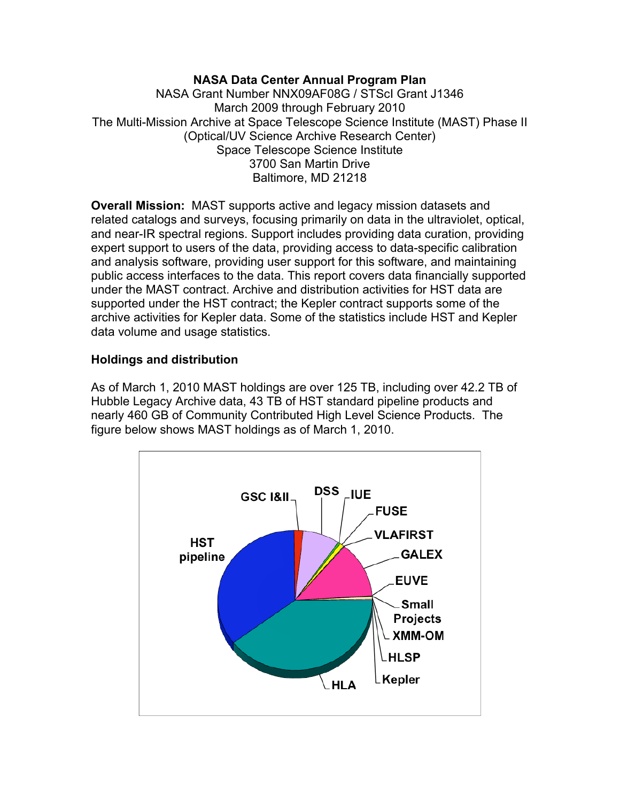## **NASA Data Center Annual Program Plan**

NASA Grant Number NNX09AF08G / STScI Grant J1346 March 2009 through February 2010 The Multi-Mission Archive at Space Telescope Science Institute (MAST) Phase II (Optical/UV Science Archive Research Center) Space Telescope Science Institute 3700 San Martin Drive Baltimore, MD 21218

**Overall Mission:** MAST supports active and legacy mission datasets and related catalogs and surveys, focusing primarily on data in the ultraviolet, optical, and near-IR spectral regions. Support includes providing data curation, providing expert support to users of the data, providing access to data-specific calibration and analysis software, providing user support for this software, and maintaining public access interfaces to the data. This report covers data financially supported under the MAST contract. Archive and distribution activities for HST data are supported under the HST contract; the Kepler contract supports some of the archive activities for Kepler data. Some of the statistics include HST and Kepler data volume and usage statistics.

## **Holdings and distribution**

As of March 1, 2010 MAST holdings are over 125 TB, including over 42.2 TB of Hubble Legacy Archive data, 43 TB of HST standard pipeline products and nearly 460 GB of Community Contributed High Level Science Products. The figure below shows MAST holdings as of March 1, 2010.

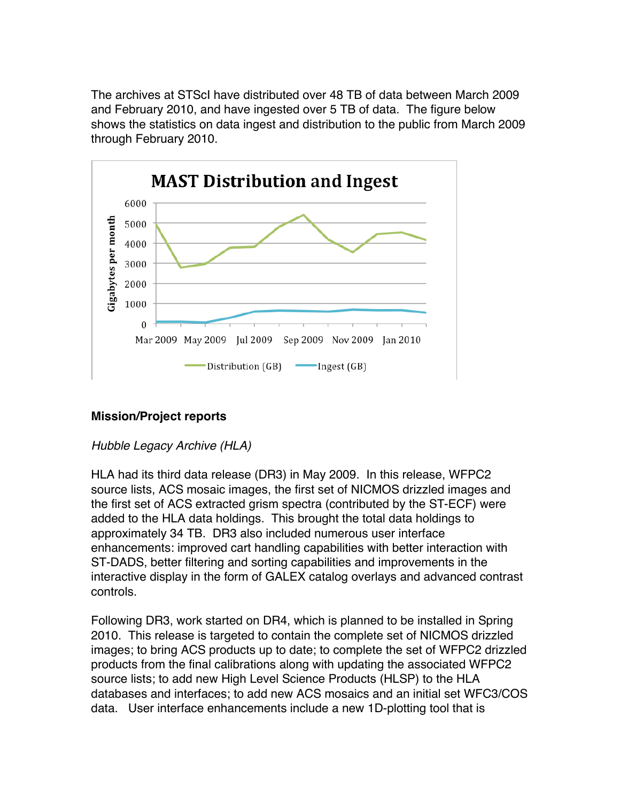The archives at STScI have distributed over 48 TB of data between March 2009 and February 2010, and have ingested over 5 TB of data. The figure below shows the statistics on data ingest and distribution to the public from March 2009 through February 2010.



## **Mission/Project reports**

## *Hubble Legacy Archive (HLA)*

HLA had its third data release (DR3) in May 2009. In this release, WFPC2 source lists, ACS mosaic images, the first set of NICMOS drizzled images and the first set of ACS extracted grism spectra (contributed by the ST-ECF) were added to the HLA data holdings. This brought the total data holdings to approximately 34 TB. DR3 also included numerous user interface enhancements: improved cart handling capabilities with better interaction with ST-DADS, better filtering and sorting capabilities and improvements in the interactive display in the form of GALEX catalog overlays and advanced contrast controls.

Following DR3, work started on DR4, which is planned to be installed in Spring 2010. This release is targeted to contain the complete set of NICMOS drizzled images; to bring ACS products up to date; to complete the set of WFPC2 drizzled products from the final calibrations along with updating the associated WFPC2 source lists; to add new High Level Science Products (HLSP) to the HLA databases and interfaces; to add new ACS mosaics and an initial set WFC3/COS data. User interface enhancements include a new 1D-plotting tool that is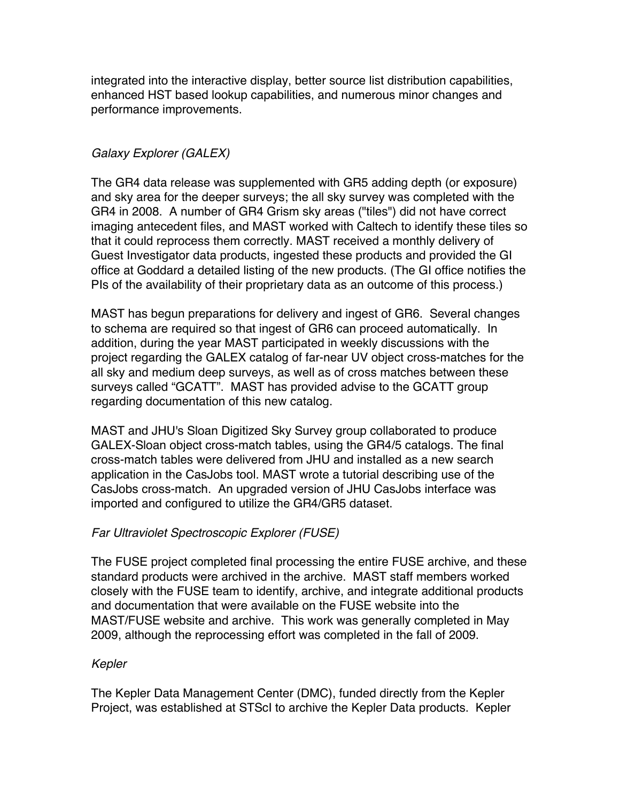integrated into the interactive display, better source list distribution capabilities, enhanced HST based lookup capabilities, and numerous minor changes and performance improvements.

# *Galaxy Explorer (GALEX)*

The GR4 data release was supplemented with GR5 adding depth (or exposure) and sky area for the deeper surveys; the all sky survey was completed with the GR4 in 2008. A number of GR4 Grism sky areas ("tiles") did not have correct imaging antecedent files, and MAST worked with Caltech to identify these tiles so that it could reprocess them correctly. MAST received a monthly delivery of Guest Investigator data products, ingested these products and provided the GI office at Goddard a detailed listing of the new products. (The GI office notifies the PIs of the availability of their proprietary data as an outcome of this process.)

MAST has begun preparations for delivery and ingest of GR6. Several changes to schema are required so that ingest of GR6 can proceed automatically. In addition, during the year MAST participated in weekly discussions with the project regarding the GALEX catalog of far-near UV object cross-matches for the all sky and medium deep surveys, as well as of cross matches between these surveys called "GCATT". MAST has provided advise to the GCATT group regarding documentation of this new catalog.

MAST and JHU's Sloan Digitized Sky Survey group collaborated to produce GALEX-Sloan object cross-match tables, using the GR4/5 catalogs. The final cross-match tables were delivered from JHU and installed as a new search application in the CasJobs tool. MAST wrote a tutorial describing use of the CasJobs cross-match. An upgraded version of JHU CasJobs interface was imported and configured to utilize the GR4/GR5 dataset.

## *Far Ultraviolet Spectroscopic Explorer (FUSE)*

The FUSE project completed final processing the entire FUSE archive, and these standard products were archived in the archive. MAST staff members worked closely with the FUSE team to identify, archive, and integrate additional products and documentation that were available on the FUSE website into the MAST/FUSE website and archive. This work was generally completed in May 2009, although the reprocessing effort was completed in the fall of 2009.

## *Kepler*

The Kepler Data Management Center (DMC), funded directly from the Kepler Project, was established at STScI to archive the Kepler Data products. Kepler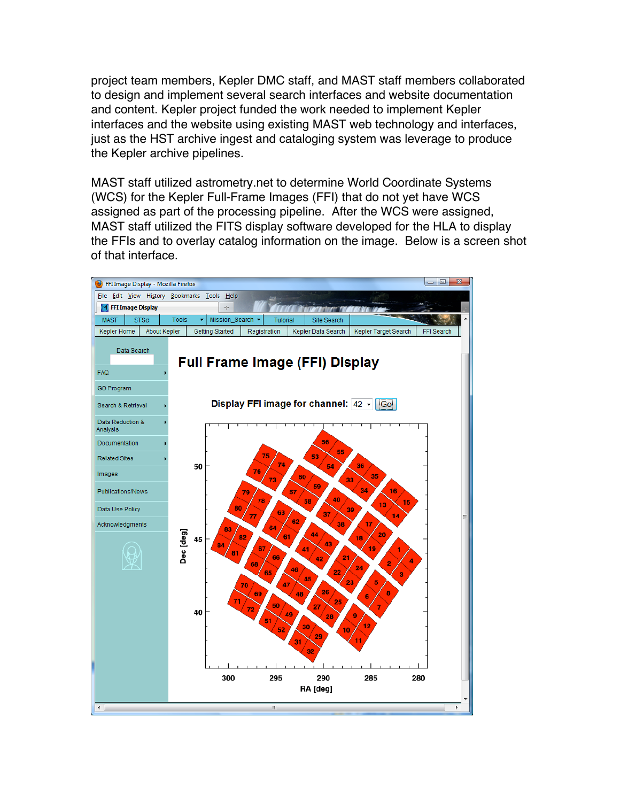project team members, Kepler DMC staff, and MAST staff members collaborated to design and implement several search interfaces and website documentation and content. Kepler project funded the work needed to implement Kepler interfaces and the website using existing MAST web technology and interfaces, just as the HST archive ingest and cataloging system was leverage to produce the Kepler archive pipelines.

MAST staff utilized astrometry.net to determine World Coordinate Systems (WCS) for the Kepler Full-Frame Images (FFI) that do not yet have WCS assigned as part of the processing pipeline. After the WCS were assigned, MAST staff utilized the FITS display software developed for the HLA to display the FFIs and to overlay catalog information on the image. Below is a screen shot of that interface.

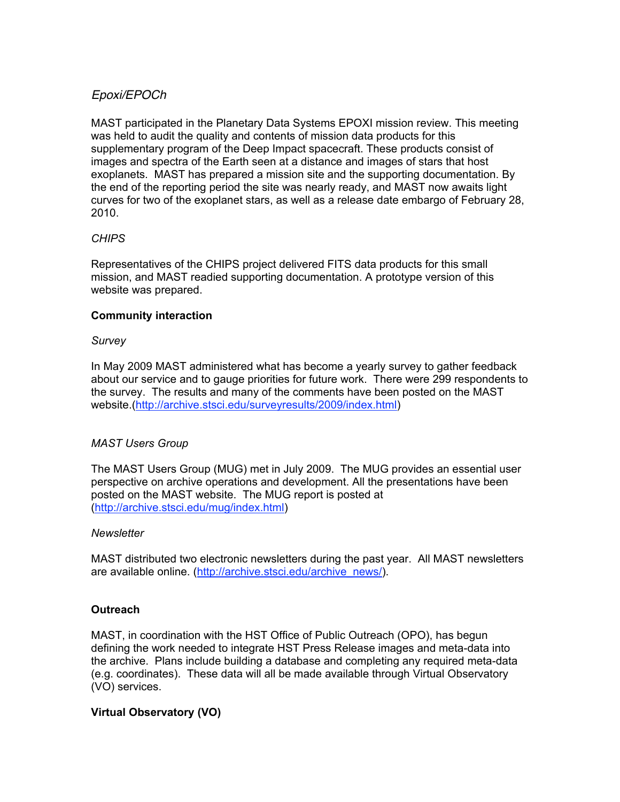### *Epoxi/EPOCh*

MAST participated in the Planetary Data Systems EPOXI mission review. This meeting was held to audit the quality and contents of mission data products for this supplementary program of the Deep Impact spacecraft. These products consist of images and spectra of the Earth seen at a distance and images of stars that host exoplanets. MAST has prepared a mission site and the supporting documentation. By the end of the reporting period the site was nearly ready, and MAST now awaits light curves for two of the exoplanet stars, as well as a release date embargo of February 28, 2010.

### *CHIPS*

Representatives of the CHIPS project delivered FITS data products for this small mission, and MAST readied supporting documentation. A prototype version of this website was prepared.

### **Community interaction**

### *Survey*

In May 2009 MAST administered what has become a yearly survey to gather feedback about our service and to gauge priorities for future work. There were 299 respondents to the survey. The results and many of the comments have been posted on the MAST website.(http://archive.stsci.edu/surveyresults/2009/index.html)

### *MAST Users Group*

The MAST Users Group (MUG) met in July 2009. The MUG provides an essential user perspective on archive operations and development. All the presentations have been posted on the MAST website. The MUG report is posted at (http://archive.stsci.edu/mug/index.html)

### *Newsletter*

MAST distributed two electronic newsletters during the past year. All MAST newsletters are available online. (http://archive.stsci.edu/archive\_news/).

### **Outreach**

MAST, in coordination with the HST Office of Public Outreach (OPO), has begun defining the work needed to integrate HST Press Release images and meta-data into the archive. Plans include building a database and completing any required meta-data (e.g. coordinates). These data will all be made available through Virtual Observatory (VO) services.

### **Virtual Observatory (VO)**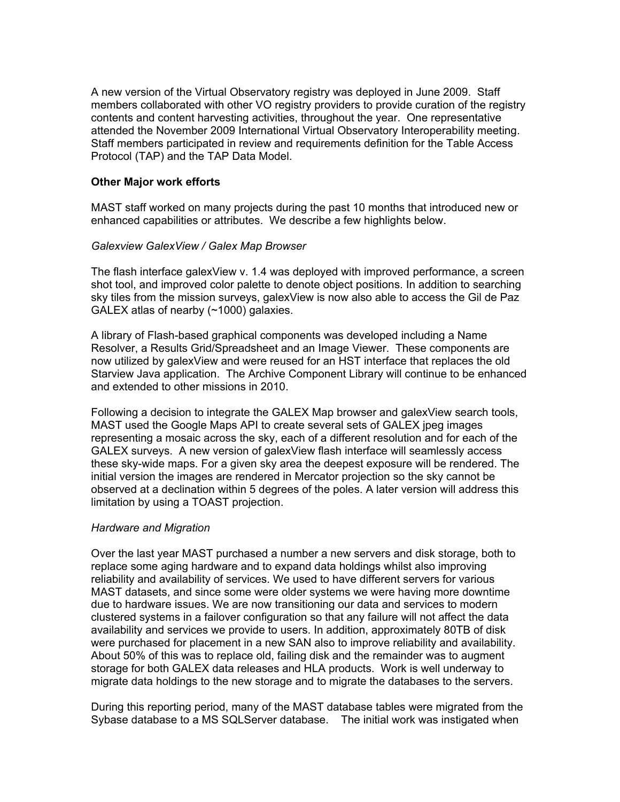A new version of the Virtual Observatory registry was deployed in June 2009. Staff members collaborated with other VO registry providers to provide curation of the registry contents and content harvesting activities, throughout the year. One representative attended the November 2009 International Virtual Observatory Interoperability meeting. Staff members participated in review and requirements definition for the Table Access Protocol (TAP) and the TAP Data Model.

#### **Other Major work efforts**

MAST staff worked on many projects during the past 10 months that introduced new or enhanced capabilities or attributes. We describe a few highlights below.

#### *Galexview GalexView / Galex Map Browser*

The flash interface galexView v. 1.4 was deployed with improved performance, a screen shot tool, and improved color palette to denote object positions. In addition to searching sky tiles from the mission surveys, galexView is now also able to access the Gil de Paz GALEX atlas of nearby (~1000) galaxies.

A library of Flash-based graphical components was developed including a Name Resolver, a Results Grid/Spreadsheet and an Image Viewer. These components are now utilized by galexView and were reused for an HST interface that replaces the old Starview Java application. The Archive Component Library will continue to be enhanced and extended to other missions in 2010.

Following a decision to integrate the GALEX Map browser and galexView search tools, MAST used the Google Maps API to create several sets of GALEX jpeg images representing a mosaic across the sky, each of a different resolution and for each of the GALEX surveys. A new version of galexView flash interface will seamlessly access these sky-wide maps. For a given sky area the deepest exposure will be rendered. The initial version the images are rendered in Mercator projection so the sky cannot be observed at a declination within 5 degrees of the poles. A later version will address this limitation by using a TOAST projection.

#### *Hardware and Migration*

Over the last year MAST purchased a number a new servers and disk storage, both to replace some aging hardware and to expand data holdings whilst also improving reliability and availability of services. We used to have different servers for various MAST datasets, and since some were older systems we were having more downtime due to hardware issues. We are now transitioning our data and services to modern clustered systems in a failover configuration so that any failure will not affect the data availability and services we provide to users. In addition, approximately 80TB of disk were purchased for placement in a new SAN also to improve reliability and availability. About 50% of this was to replace old, failing disk and the remainder was to augment storage for both GALEX data releases and HLA products. Work is well underway to migrate data holdings to the new storage and to migrate the databases to the servers.

During this reporting period, many of the MAST database tables were migrated from the Sybase database to a MS SQLServer database. The initial work was instigated when